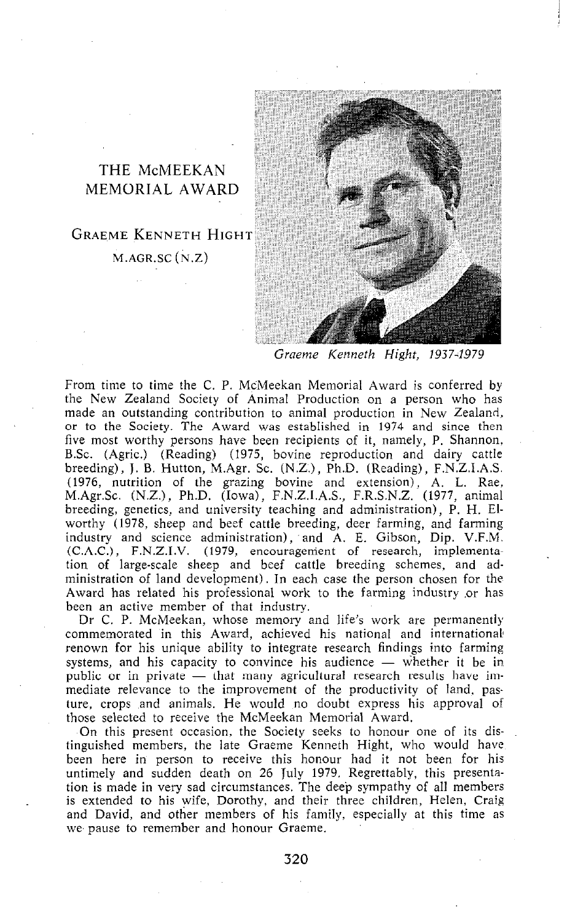## THE McMEEKAN MEMORIAL AWARD

GRAEME KENNETH HIGH'I  $M.AGR.SC(N.Z)$ 

*Graeme Kenneth Hight, 19374979* 

From time to time the C. P. McMeekan Memorial Award is conferred by the New Zealand Society of Animal Production on a person who has made an outstanding contribution to animal production in New Zealand, or to the Society. The Award was established in 1974 and since then five most worthy persons have been recipients of it, namely, P. Shannon, BSc. (Agric.) (Reading) (1975, bovine reproduction and dairy cattle breeding), J. B. Hutton, M.Agr. SC. (N.Z.), Ph.D. (Reading), F.N.Z.I.A.S. (1976, nutrition of the grazing bovine and extension), A. L. Rae, M.Agr.Sc. (N.Z.), Ph.D. (Iowa), F.N.Z.I.A.S., F.R.S.N.Z. (1977, animal breeding, genetics, and university teaching and administration), P. H. Elworthy (1978, sheep and beef cattle breeding, deer farming, and farming industry and science administration), and A. E. Gibson, Dip. V.F.M. **(C.A.C.) ,** F.N.Z.J.V. (1979, encouragenient of research, implementation of large-scale sheep and beef cattle breeding schemes, and administration of land development). In each case the person chosen for the Award has related his professional work to the farming industry .or has been an active member of that industry.

Dr C. P. McMeekan, whose memory and life's work are permanently commemorated in this Award, achieved his national and international renown for his unique ability to integrate research findings into farming systems, and his capacity to convince his audience  $-$  whether it be in public or in private - that many agricultural research results have immediate relevance to the improvement of the productivity of land, pasture, crops and animals. He would no doubt express his approval of those selected to receive the McMeekan Memorial Award.

On this present occasion, the Society seeks to honour one of its distinguished members, the late Graeme Kenneth Hight, who would have been here in person to receive this honour had it not been for his untimely and sudden death on 26 July 1979. Regrettably, this presentation is made in very sad circumstances. The deep sympathy of all members is extended to his wife, Dorothy, and their three children, Helen, Craig and David, and other members of his family, especially at this time as we pause to remember and honour Graeme.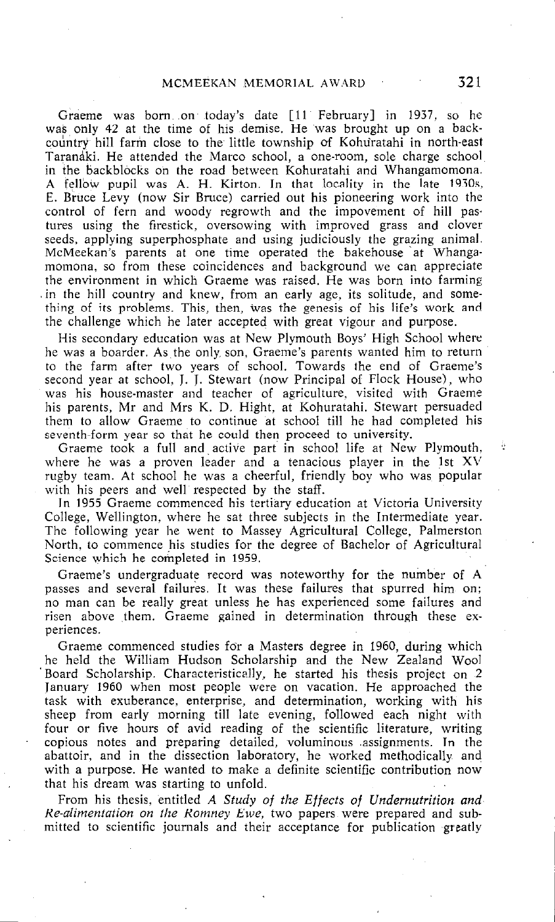Graeme was born .on today's date [ll February] in 1937. so he was only 42 at the time of his demise. He was brought up on a back country hill farm close to the little township of Kohuratahi in north-east Taranaki. He attended the Marco school, a one-room, sole charge school in the backblocks on the road between Kohuratahi and Whangamomona. A fellow pupil was A. H. Kirton. In that locality in the late 1930s. E. Bruce Levy (now Sir Bruce) carried out his pioneering work into the control of fern and woody regrowth and the impovement of h'ill pas tures using the firestick, oversowing with improved grass and clover seeds, applying superphosphate and using judiciously the grazing animal. McMeekan's parents at one time operated the bakehouse 'at Whangamomona, so from these coincidences and background we can appreciate the environment in which Graeme was raised. He was born into farming .in the hill country and knew, from an early age, its solitude, and something of its problems. This, then, was the genesis of his life's work and the challenge which he later accepted with great vigour and purpose.

His secondary education was at New Plymouth Boys' High School where he was a boarder. As the only, son, Graeme's parents wanted him to return to the farm after two years of school. Towards the end of Graeme's second year at school, J. J. Stewart (now Principal of Flock House), who was his house-master and teacher of agriculture, visited with Graeme his parents, Mr and Mrs K. D. Hight, at Kohuratahi. Stewart persuaded them to allow Graeme to continue at school till he had completed his seventh-form year so that he could then proceed to university.

Graeme took a full and active part in school life at New Plymouth, where he was a proven leader and a tenacious player in the 1st XV rugby team. At school he was a cheerful, friendly boy who was popular with his peers and well respected by the staff.

In 1955 Graeme commenced his tertiary education at Victoria University College, Wellington, where he sat three subjects in the Intermediate year. The following year he went to Massey Agricultural College, Palmerston North, to commence his studies for the degree of Bachelor of Agricultural Science which he completed in 1959.

Graeme's undergraduate record was noteworthy for the number of A passes and several failures. It was these failures that spurred him on; no man can be really great unless he has experienced some failures and risen above them. Graeme gained in determination through these experiences.

Graeme commenced studies for a Masters degree in 1960, during which he held the William Hudson Scholarship and the New Zealand Wool Board Scholarship. Characteristically, he started his thesis project on 2 Ianuary 1960 when most people were on vacation. He approached the task with exuberance, enterprise, and determination, working with his sheep from early morning till late evening, followed each night with four or five hours of avid reading of the scientific literature, writing copious notes and preparing detailed, voluminous .assignments. In the abattoir, and in the dissection laboratory, he worked methodically and with a purpose. He wanted to make a definite scientific contribution now that his dream was starting to unfold.

From his thesis, entitled *A Study of the Effects of Undernutrition and Re-alimentation on the Romney Ewe,* two papers were prepared and submitted to scientific journals and their acceptance for publication greatly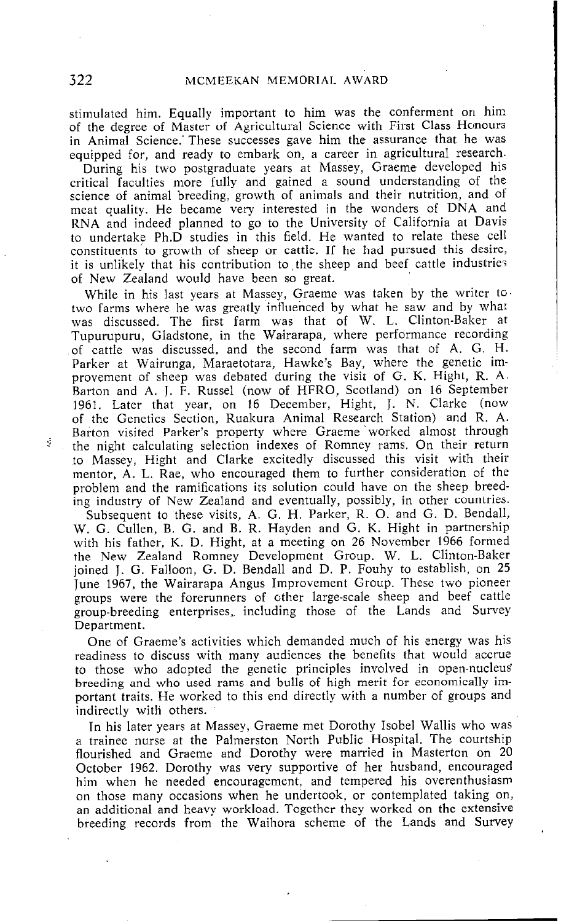stimulated him. Equally important to him was the conferment on him of the degree of Master of Agricultural Science with First Class Honours in Animal Science. These successes gave him the assurance that he was equipped for, and ready to embark on, a career in agricultural research.

During his two postgraduate years at Massey, Graeme developed his critical faculties more fully and gained a sound understanding of the science of animal breeding, growth of animals and their nutrition, and of meat quality. He became very interested in the wonders of DNA and RNA and indeed planned to go to the University of California at Davis to undertake Ph.D studies in this field. He wanted to relate these cell constituents to growth of sheep or cattle. If he had pursued this desire it is unlikely that his contribution to the sheep and beef cattle industries of New Zealand would have been so great.

While in his last years at Massey, Graeme was taken by the writer to. two farms where he was greatly influenced by what he saw and by what was discussed. The first farm was that of W. L. Clinton-Baker at Tupurupuru, Gladstone, in the Wairarapa, where performance recording of cattle was discussed, and the second farm was that of A. G. H. Parker at Wairunga, Maraetotara, Hawke's Bay, where the genetic improvement of sheep was debated during the visit of G. K. Hight, R. A. Barton and A. J. F. Russel (now of HFRO, Scotland) on 16 September 1961. Later that year, on 16 December, Hight, J. N. Clarke (now of the Genetics Section, Ruakura Animal Research Station) and R. A. Barton visited Parker's property where Graeme worked almost through the night calculating selection indexes of Romney rams. On their return to Massey, Hight and Clarke excitedly discussed this visit with their mentor, A. L. Rae, who encouraged them to further consideration of the problem and the ramifications its solution could have on the sheep breeding industry of New Zealand and eventually, possibly, in other countries. Subsequent to these visits, A. G. H. Parker, R. 0. and G. D. Bendall, W. G. Cullen, B. G. and B. R. Hayden and G. K. Hight in partnership with his father, K. D. Hight, at a meeting on 26 November 1966 formed the New Zealand Romney Development Group. W. L. Clinton-Bake joined J. G. Falloon, G. D. Bendall and D. P. Fouhy to establish, on 25 June 1967, the Wairarapa Angus Improvement Group. These two pioneer groups were the forerunners of other large-scale sheep and beef cattle group-breeding enterprises, including those of the Lands and Survey Department.

One of Graeme's activities which demanded much of his energy was his readiness to discuss with many audiences the benefits that would accrue to those who adopted the genetic principles involved in open-nucleus' breeding and who used rams and bulls of high merit for economically important traits. He worked to this end directly with a number of groups and indirectly with others.

In his later years at Massey, Graeme met Dorothy Isobel Wallis who was a trainee nurse at the Palmerston North Public Hospital. The courtship flourished and Graeme and Dorothv were married in Masterton on 20 October 1962. Dorothy was very supportive of her husband, encouraged him when he needed encouragement, and tempered his overenthusiasm on those many occasions when he undertook, or contemplated taking on, an additional and heavy workload. Together they worked on the extensive breeding records from the Waihora scheme of the Lands and Survey

ŷ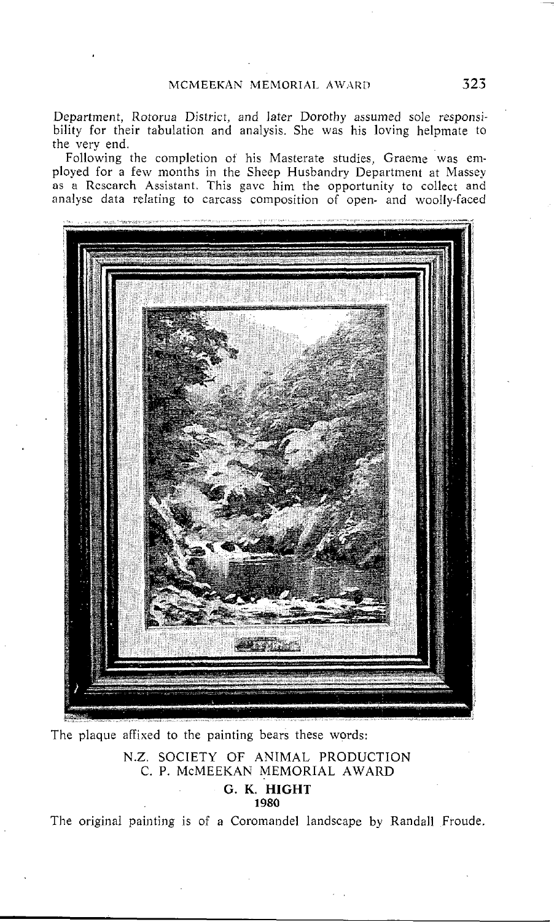Department, Rotorua District, and later Dorothy assumed sole responsibility for their tabulation and analysis. She was his loving helpmate to the very end.

Following the completion of his Masterate studies, Graeme was employed for a few months in the Sheep Husbandry Department at Massey as a Research Assistant. This gave him the opportunity to collect and analyse data relating to carcass composition of open- and woolly-faced



The plaque affixed to the painting bears these words:

N.Z. SOCIETY OF ANIMAL PRODUCTION C. P. McMEEKAN MEMORIAL AWARD

## G. K. HIGHT 1980

The original painting is of a Coromandel landscape by Randall Froude.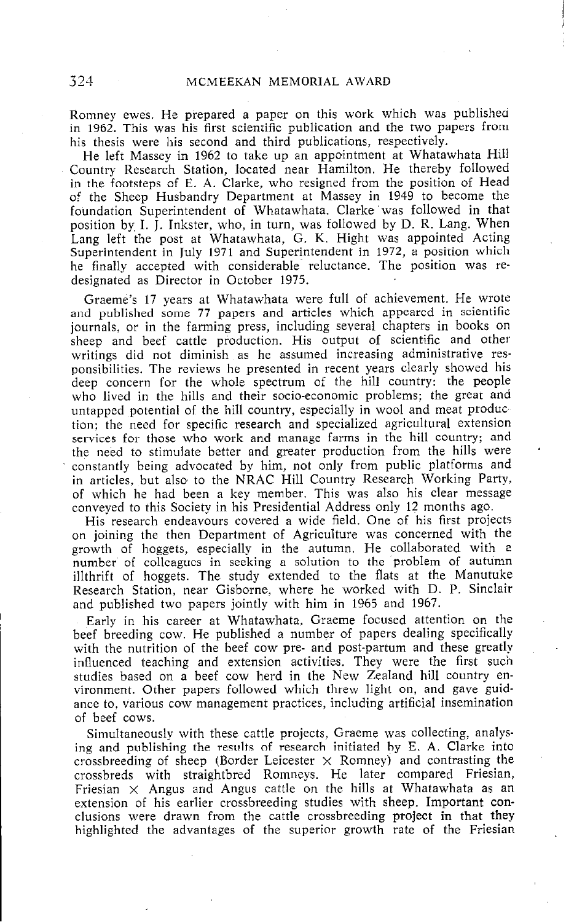Romney ewes. He prepared a paper on this work which was published in 1962. This was his first scientific publication and the two papers from his thesis were his second and third publications, respectively.

He left Massey in 1962 to take up an appointment at Whatawhata Hill Country Research Station, located near Hamilton. He thereby followed in the footsteps of E. A. Clarke, who resigned from the position of Head of the Sheep Husbandry Department at Massey in 1949 to become the foundation Superintendent of Whatawhata. Clarke was followed in that position by, I. J. Inkster, who, in turn, was followed by D. R. Lang. When Lang left the post at Whatawhata, G. K. Hight was appointed Acting Superintendent in July 1971 and Superintendent in 1972, a position which he finally accepted with considerable' reluctance. The position was redesignated as Director in October 1975.

Graeme's 17 years at Whatawhata were full of achievement. He wrote and published some 77 papers and articles which appeared in scientific journals, or in the farming press, including several chapters in books on sheep and beef cattle production. His output of scientific and other writings did not diminish as he assumed increasing administrative responsibilities. The reviews he presented in recent years clearly showed his deep concern for the whole spectrum of the hill country: the people who lived in the hills and their socio-economic problems; the great and untapped potential of the hill country, especially in wool and meat produc tion; the need for specific research and specialized agricultural extension services for those who work and manage farms in the hill country; and the need to stimulate better and greater production from the hills were ' constantly being advocated by him, not only from public platforms and in articles, but also to the NRAC Hill Country Research Working Party. of which he had been a key member. This was also his clear message conveyed to this Society in his Presidential Address only 12 months ago.

His research endeavours covered a wide field. One of his first projects on joining the then Department of Agriculture was concerned with the growth of hoggets, especially in the autumn. He collaborated with a number of colleagues in seeking a solution to the problem of autumn illthrift of hoggets. The study extended to the flats at the Manutuke Research Station, near Gisborne, where he worked with D. P. Sinclair and published two papers jointly with him in 1965 and 1967.

Early in his career at Whatawhata, Graeme focused attention on the beef breeding cow. He published a number of papers dealing specifically with the nutrition of the beef cow pre- and post-partum and these greatly influenced teaching and extension activities. They were the first such studies based on a beef cow herd in the New Zealand hill country environment. Other papers followed which threw light on, and gave guidance to, various cow management practices, including artificial insemination of beef cows.

Simultaneously with these cattle projects, Graeme was collecting, analysing and publishing the results of research initiated by E. A. Clarke into crossbreeding of sheep (Border Leicester  $\times$  Romney) and contrasting the crossbreds with straightbred Romneys. He later compared Friesian, Friesian  $\times$  Angus and Angus cattle on the hills at Whatawhata as an extension of his earlier crossbreeding studies with sheep. Important conclusions were drawn from the cattle crossbreeding project in that they highlighted the advantages of the superior growth rate of the Friesian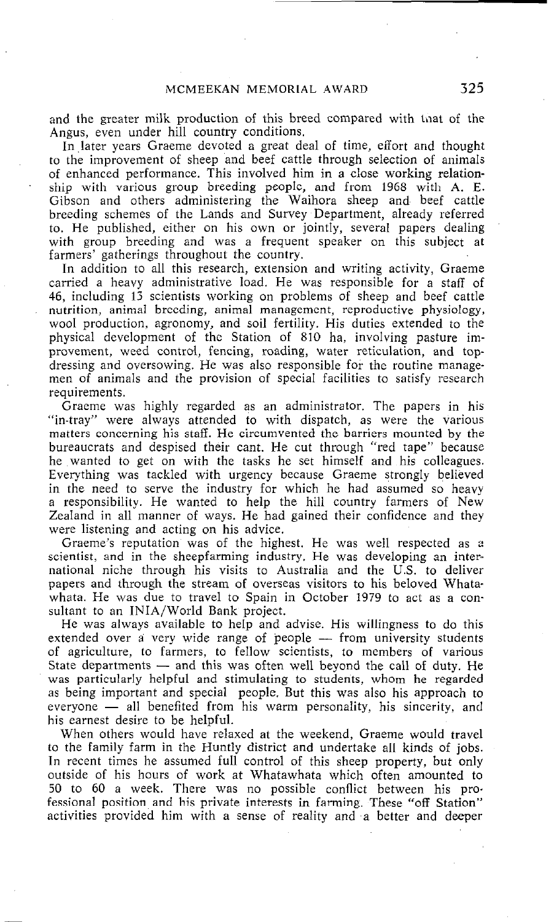and the greater milk production of this breed compared with that of the Angus, even under hill country conditions.

In later years Graeme devoted a great deal of time, effort and thought to the improvement of sheep and beef cattle through selection of animals of enhanced performance. This involved him in a close working relationship with various group breeding people, and from 1968 with A. E. Gibson and others administering the Waihora sheep and beef cattle breeding schemes of the Lands and Survey Department, already referred to. He published, either on his own or jointly, several papers dealing with group breeding and was a frequent speaker on this subject at farmers' gatherings throughout the country.

In addition to all this research, extension and writing activity, Graeme carried a heavy administrative load. He was responsible for a staff of 46, including 13 scientists working on problems of sheep and beef cattle nutrition, animal breeding, animal management, reproductive physiology, wool production, agronomy, and soil fertility. His duties extended to the physical development of the Station of 810 ha, involving pasture improvement, weed control, fencing, roading, water reticulation, and topdressing and oversowing. He was also responsible for the routine managemen of animals and the provision of special facilities to satisfy research requirements.

Graeme was highly regarded as an administrator. The papers in his "in-tray" were always attended to with dispatch, as were the various matters concerning his staff. He circumvented the barriers mounted by the bureaucrats and despised their cant. He cut through "red tape" because he wanted to get on with the tasks he set himself and his colleagues. Everything was tackled with urgency because Graeme strongly believed in the need to serve the industry for which he had assumed so heavy a responsibility. He wanted to help the hill country farmers of New Zealand in all manner of ways. He had gained their confidence and they were listening and acting on his advice.

Graeme's reputation was of the highest. He was well respected as a scientist, and in the sheepfarming industry. He was developing an international niche through his visits to Australia and the U.S. to deliver papers and through the stream of overseas visitors to his beloved Whatawhata. He was due to travel to Spain in October 1979 to act as a consultant to an INIA/World Bank project.

He was always available to help and advise. His willingness to do this extended over a very wide range of people -- from university students of agriculture, to farmers, to fellow scientists, to members of various State departments  $-$  and this was often well beyond the call of duty. He was particularly helpful and stimulating to students, whom he regarded as being important and special people. But this was also his approach to everyone  $-$  all benefited from his warm personality, his sincerity, and his earnest desire to be helpful.

When others would have relaxed at the weekend, Graeme would travel to the family farm in the Huntly district and undertake all kinds of jobs. In recent times he assumed full control of this sheep property, but only outside of his hours of work at Whatawhata which often amounted to 50 to 60 a week. There was no possible conflict between his professional position and his private interests in farming. These "off Station" activities provided him with a sense of reality and a better and deeper